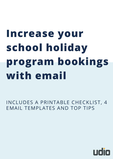# **Increase your school holiday program bookings with email**

INCLUDES A PRINTABLE CHECKLIST, 4 EMAIL TEMPLATES AND TOP TIPS

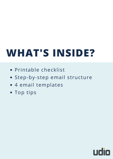# **WHAT'S INSIDE?**

- Printable checklist
- Step-by-step email structure
- 4 email templates
- Top tips

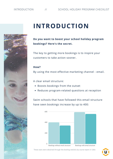INTRODUCTION // SCHOOL HOLIDAY PROGRAM CHECKLIST



# **INTRODUCTION**

#### **Do you want to boost your school holiday program bookings? Here's the secret.**

The key to getting more bookings is to inspire your customers to take action sooner.

#### **How?**

By using the most effective marketing channel - email.

A clear email structure:

- Boosts bookings from the outset
- Reduces program-related questions at reception

Swim schools that have followed this email structure have seen bookings increase by up to 400:



These stats were obtained through the *booking statistics by course* report in Udio

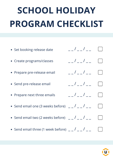# **SCHOOL HOLIDAY PROGRAM CHECKLIST**

| • Set booking release date                          | $  /$ $  /$ $ -$                                                                                                                                                                                                                                                                                                                                                                                                                                                                                                                                                          |  |
|-----------------------------------------------------|---------------------------------------------------------------------------------------------------------------------------------------------------------------------------------------------------------------------------------------------------------------------------------------------------------------------------------------------------------------------------------------------------------------------------------------------------------------------------------------------------------------------------------------------------------------------------|--|
| • Create programs/classes                           | $  /$ $  /$ $ -$                                                                                                                                                                                                                                                                                                                                                                                                                                                                                                                                                          |  |
| • Prepare pre-release email                         | $  /$ $  /$ $ -$                                                                                                                                                                                                                                                                                                                                                                                                                                                                                                                                                          |  |
| • Send pre-release email                            | $\frac{\beta}{\beta}-\frac{\beta}{\beta}-\frac{\beta}{\beta}-\frac{\beta}{\beta}-\frac{\beta}{\beta}-\frac{\beta}{\beta}-\frac{\beta}{\beta}-\frac{\beta}{\beta}-\frac{\beta}{\beta}-\frac{\beta}{\beta}-\frac{\beta}{\beta}-\frac{\beta}{\beta}-\frac{\beta}{\beta}-\frac{\beta}{\beta}-\frac{\beta}{\beta}-\frac{\beta}{\beta}-\frac{\beta}{\beta}-\frac{\beta}{\beta}-\frac{\beta}{\beta}-\frac{\beta}{\beta}-\frac{\beta}{\beta}-\frac{\beta}{\beta}-\frac{\beta}{\beta}-\frac{\beta}{\beta}-\frac{\beta}{\beta}-\frac{\beta}{\beta}-\frac{\beta}{\beta}-\frac{\beta$ |  |
| • Prepare next three emails                         | $  /$ $  /$ $ -$                                                                                                                                                                                                                                                                                                                                                                                                                                                                                                                                                          |  |
| • Send email one (3 weeks before) $  /$ $  /$ $ -$  |                                                                                                                                                                                                                                                                                                                                                                                                                                                                                                                                                                           |  |
| • Send email two (2 weeks before) $  /$ $  /$ $ -$  |                                                                                                                                                                                                                                                                                                                                                                                                                                                                                                                                                                           |  |
| • Send email three (1 week before) $  /$ $  /$ $ -$ |                                                                                                                                                                                                                                                                                                                                                                                                                                                                                                                                                                           |  |
|                                                     |                                                                                                                                                                                                                                                                                                                                                                                                                                                                                                                                                                           |  |

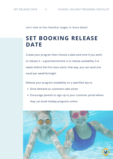Let's look at the checklist stages in more detail:

# **SET BOOKING RELEASE DATE**

Create your program then choose a date (and time if you wish) to release it - a good benchmark is to release availability 3–6 weeks before the first class starts; that way, you can send one email per week/fortnight.

Release your program availability on a specified day to:

- Drive demand so customers take action
- Encourage parents to sign up to your customer portal where they can book holiday programs online

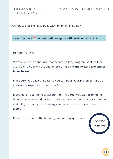Generate a pre-release buzz with an email like below:

**Save the date School holiday spots will OPEN on 22/11/21**

Hi <first name>,

We're excited to announce that school holiday program spots will be available to book via the customer portal on **Monday 22nd November from 10 am**.

Make sure you save the date so you can book your preferred time as classes are expected to book out fast.

If you haven't set up your account on the portal yet, we recommend doing so now to avoid delays on the day. It takes less than five minutes and lets you manage all bookings and payments from your phone or laptop.

Please reach out to the team if you have any questions.



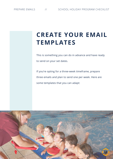# **CREATE YOUR EMAIL TEMPLATES**

This is something you can do in advance and have ready to send on your set dates.

If you're opting for a three-week timeframe, prepare three emails and plan to send one per week. Here are some templates that you can adapt:

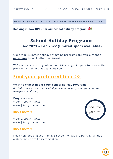**EMAIL 1** - SEND ON LAUNCH DAY (THREE WEEKS BEFORE FIRST CLASS)

**Booking is now OPEN for our school holiday program**

### **School Holiday Programs Dec 2021 – Feb 2022 (limited spots available)**

Our school summer holiday swimming programs are officially open **enrol now** to avoid disappointment.

We're already receiving lots of enquiries, so get in quick to reserve the program and time that best suits you.

### **Find your preferred time >>**

**What to expect in our swim school holiday programs** *[Include a brief overview of what your holiday program offers and the benefits to children].*

#### **Program dates**

Week 1: *[date – date] [cost]* | *[program duration]*

#### **BOOK NOW >>**

Week 2: *[date – date] [cost]* | *[program duration]*

#### **BOOK NOW >>**

Need help booking your family's school holiday program? Email us at *[enter email]* or call *[insert number]*.



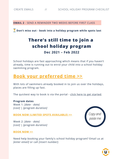**EMAIL 2** - SEND A REMINDER TWO WEEKS BEFORE FIRST CLASS

**Don't miss out - book into a holiday program while spots last**

## **There's still time to join a school holiday program Dec 2021 – Feb 2022**

School holidays are fast approaching which means that if you haven't already, time is running out to enrol your child into a school holiday swimming program.

## **Book your preferred time >>**

With lots of swimmers already booked in to join us over the holidays, places are filling up fast.

The quickest way to book is via the portal - click here to get started.

**Program dates** Week 1: *[date - date] [cost]* | *[program duration]*

**BOOK NOW (LIMITED SPOTS AVAILABLE) >>**

Week 2: *[date - date] [cost]* | *[program duration]*



#### **BOOK NOW >>**

Need help booking your family's school holiday program? Email us at *[enter email]* or call *[insert number]*.

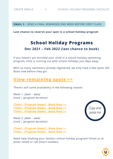**EMAIL 3** - SEND A FINAL REMINDER ONE WEEK BEFORE FIRST CLASS

#### **Last chance to reserve your spot in a school holiday program**

## **School Holiday Programs Dec 2021 – Feb 2022 (last chance to book)**

If you haven't yet enrolled your child in a school holiday swimming program, time is running out with school holidays just days away.

With so many swimmers already registered, we only have a few spots left. Book now before they go!

## **View remaining spots >>**

There's still some availability in the following classes:

Week 1: *[date – date] [cost]* | *[program duration]*

*[Time] - [Program Name]* **- Book Now >>** *[Time] - [Program Name]* **- Book Now >>** *[Time] - [Program Name]* **- Book Now >>**

Week 2: *[date – date] [cost]* | *[program duration]*

*[Time] - [Program Name]* **- Book Now >>** *[Time] - [Program Name]* **- Book Now >>** *Copy and paste me*

Need help booking your family's school holiday program? Email us at *[enter email]* or call *[insert number]*.

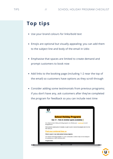# **Top tips**

- Use your brand colours for links/bold text
- Emojis are optional but visually appealing; you can add them to the subject line and body of the email in Udio
- Emphasise that spaces are limited to create demand and prompt customers to book now
- Add links to the booking page (including 1-2 near the top of the email) so customers have options as they scroll through
- Consider adding some testimonials from previous programs; if you don't have any, ask customers after they've completed the program for feedback so you can include next time

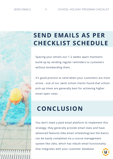# **SEND EMAILS AS PER CHECKLIST SCHEDULE**

Spacing your emails out 1–2 weeks apart maintains build-up by sending regular reminders to customers without bombarding them.

It's good practice to send when your customers are most active - one of our swim school clients found that school pick-up times are generally best for achieving higher email open rates.

# **CONCLUSION**

You don't need a paid email platform to implement this strategy; they generally provide email stats and have advanced features (like email scheduling) but the basics can be easily completed via a course management system like Udio, which has inbuilt email functionality that integrates with your customer database.